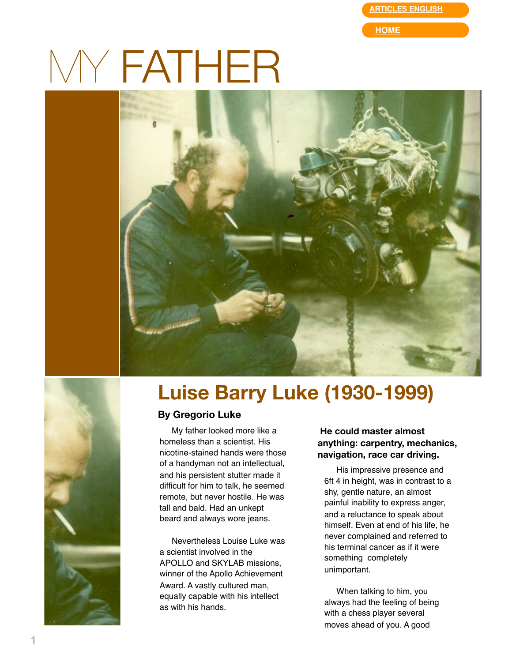**[ARTICLES ENGLISH](http://web.mac.com/gregorioluke/Site/Articles_in_English.html)**

**[HOME](http://web.mac.com/gregorioluke/Site/Home.html)**

# MY FATHER



## **Luise Barry Luke (1930-1999)**

#### **By Gregorio Luke**

My father looked more like a homeless than a scientist. His nicotine-stained hands were those of a handyman not an intellectual, and his persistent stutter made it difficult for him to talk, he seemed remote, but never hostile. He was tall and bald. Had an unkept beard and always wore jeans.

Nevertheless Louise Luke was a scientist involved in the APOLLO and SKYLAB missions, winner of the Apollo Achievement Award. A vastly cultured man, equally capable with his intellect as with his hands.

#### **He could master almost anything: carpentry, mechanics, navigation, race car driving.**

His impressive presence and 6ft 4 in height, was in contrast to a shy, gentle nature, an almost painful inability to express anger, and a reluctance to speak about himself. Even at end of his life, he never complained and referred to his terminal cancer as if it were something completely unimportant.

When talking to him, you always had the feeling of being with a chess player several moves ahead of you. A good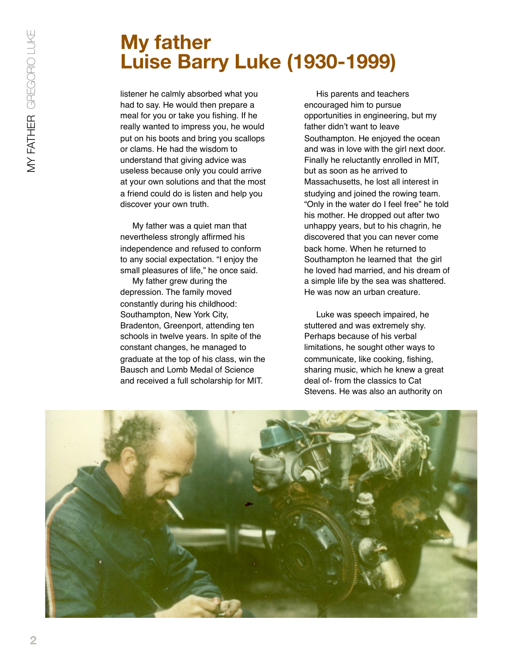## **My father Luise Barry Luke (1930-1999)**

listener he calmly absorbed what you had to say. He would then prepare a meal for you or take you fishing. If he really wanted to impress you, he would put on his boots and bring you scallops or clams. He had the wisdom to understand that giving advice was useless because only you could arrive at your own solutions and that the most a friend could do is listen and help you discover your own truth.

My father was a quiet man that nevertheless strongly affirmed his independence and refused to conform to any social expectation. "I enjoy the small pleasures of life," he once said.

My father grew during the depression. The family moved constantly during his childhood: Southampton, New York City, Bradenton, Greenport, attending ten schools in twelve years. In spite of the constant changes, he managed to graduate at the top of his class, win the Bausch and Lomb Medal of Science and received a full scholarship for MIT.

His parents and teachers encouraged him to pursue opportunities in engineering, but my father didn't want to leave Southampton. He enjoyed the ocean and was in love with the girl next door. Finally he reluctantly enrolled in MIT, but as soon as he arrived to Massachusetts, he lost all interest in studying and joined the rowing team. "Only in the water do I feel free" he told his mother. He dropped out after two unhappy years, but to his chagrin, he discovered that you can never come back home. When he returned to Southampton he learned that the girl he loved had married, and his dream of a simple life by the sea was shattered. He was now an urban creature.

Luke was speech impaired, he stuttered and was extremely shy. Perhaps because of his verbal limitations, he sought other ways to communicate, like cooking, fishing, sharing music, which he knew a great deal of- from the classics to Cat Stevens. He was also an authority on

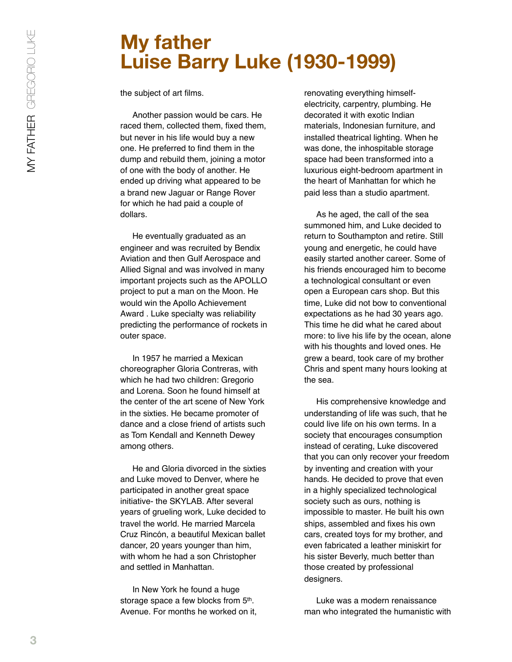### **My father Luise Barry Luke (1930-1999)**

the subject of art films.

Another passion would be cars. He raced them, collected them, fixed them, but never in his life would buy a new one. He preferred to find them in the dump and rebuild them, joining a motor of one with the body of another. He ended up driving what appeared to be a brand new Jaguar or Range Rover for which he had paid a couple of dollars.

He eventually graduated as an engineer and was recruited by Bendix Aviation and then Gulf Aerospace and Allied Signal and was involved in many important projects such as the APOLLO project to put a man on the Moon. He would win the Apollo Achievement Award . Luke specialty was reliability predicting the performance of rockets in outer space.

In 1957 he married a Mexican choreographer Gloria Contreras, with which he had two children: Gregorio and Lorena. Soon he found himself at the center of the art scene of New York in the sixties. He became promoter of dance and a close friend of artists such as Tom Kendall and Kenneth Dewey among others.

He and Gloria divorced in the sixties and Luke moved to Denver, where he participated in another great space initiative- the SKYLAB. After several years of grueling work, Luke decided to travel the world. He married Marcela Cruz Rincón, a beautiful Mexican ballet dancer, 20 years younger than him, with whom he had a son Christopher and settled in Manhattan.

In New York he found a huge storage space a few blocks from 5<sup>th</sup>. Avenue. For months he worked on it, renovating everything himselfelectricity, carpentry, plumbing. He decorated it with exotic Indian materials, Indonesian furniture, and installed theatrical lighting. When he was done, the inhospitable storage space had been transformed into a luxurious eight-bedroom apartment in the heart of Manhattan for which he paid less than a studio apartment.

As he aged, the call of the sea summoned him, and Luke decided to return to Southampton and retire. Still young and energetic, he could have easily started another career. Some of his friends encouraged him to become a technological consultant or even open a European cars shop. But this time, Luke did not bow to conventional expectations as he had 30 years ago. This time he did what he cared about more: to live his life by the ocean, alone with his thoughts and loved ones. He grew a beard, took care of my brother Chris and spent many hours looking at the sea.

His comprehensive knowledge and understanding of life was such, that he could live life on his own terms. In a society that encourages consumption instead of cerating, Luke discovered that you can only recover your freedom by inventing and creation with your hands. He decided to prove that even in a highly specialized technological society such as ours, nothing is impossible to master. He built his own ships, assembled and fixes his own cars, created toys for my brother, and even fabricated a leather miniskirt for his sister Beverly, much better than those created by professional designers.

Luke was a modern renaissance man who integrated the humanistic with